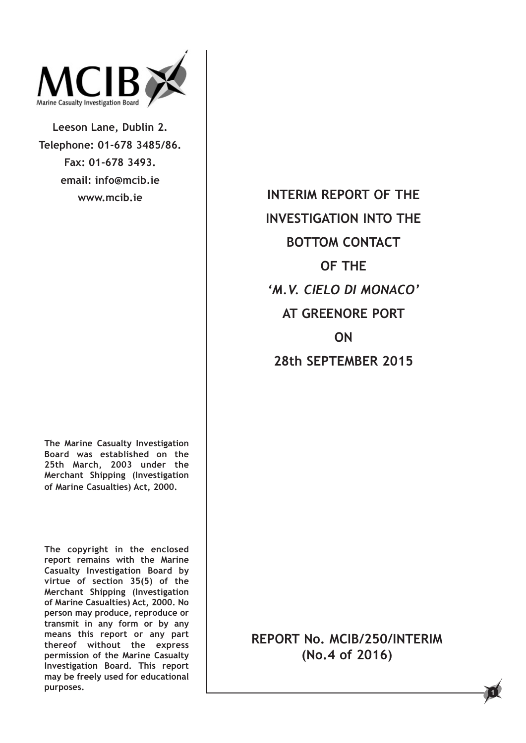

**Leeson Lane, Dublin 2. Telephone: 01-678 3485/86. Fax: 01-678 3493. email: info@mcib.ie www.mcib.ie**

**The Marine Casualty Investigation Board was established on the 25th March, 2003 under the Merchant Shipping (Investigation of Marine Casualties) Act, 2000.**

**The copyright in the enclosed report remains with the Marine Casualty Investigation Board by virtue of section 35(5) of the Merchant Shipping (Investigation of Marine Casualties) Act, 2000. No person may produce, reproduce or transmit in any form or by any means this report or any part thereof without the express permission of the Marine Casualty Investigation Board. This report may be freely used for educational purposes.**

**INTERIM REPORT OF THE INVESTIGATION INTO THE BOTTOM CONTACT OF THE** *'M.V. CIELO DI MONACO'* **AT GREENORE PORT ON**

**28th SEPTEMBER 2015**

**REPORT No. MCIB/250/INTERIM (No.4 of 2016)**

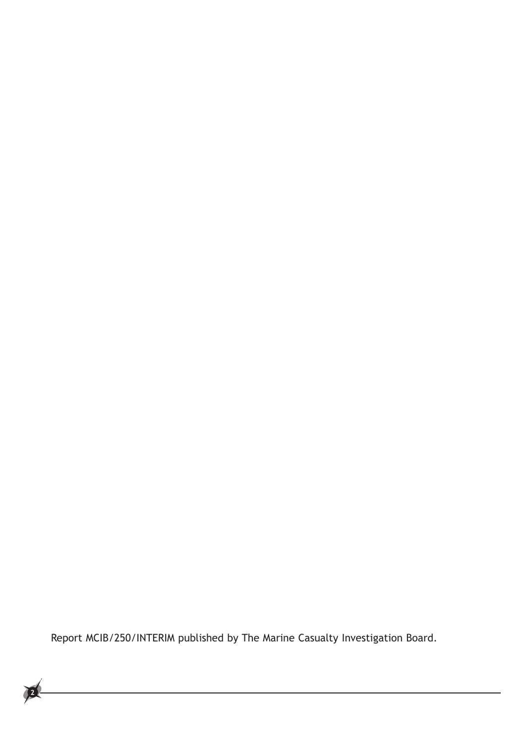Report MCIB/250/INTERIM published by The Marine Casualty Investigation Board.

<u> 1989 - Johann Barn, mars eta bainar eta idazlea (</u>

**2**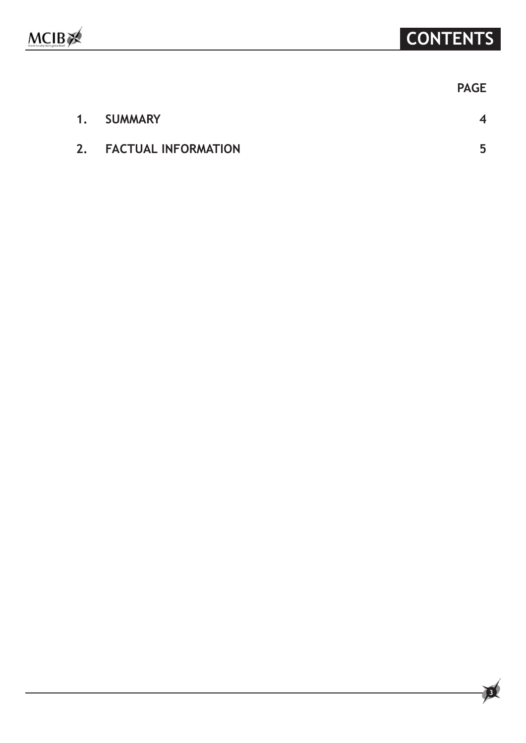| <b>PAGE</b> |
|-------------|
|             |

|    | 1. SUMMARY                 |  |
|----|----------------------------|--|
| 2. | <b>FACTUAL INFORMATION</b> |  |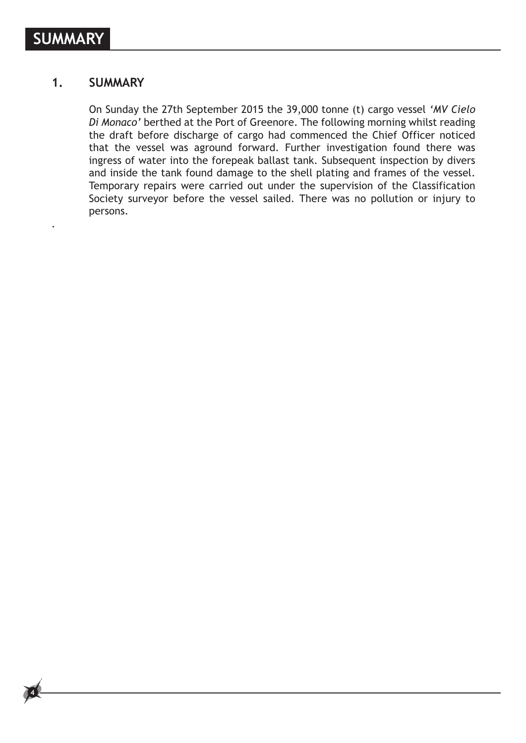.

**4**

## **1. SUMMARY**

 On Sunday the 27th September 2015 the 39,000 tonne (t) cargo vessel *'MV Cielo Di Monaco'* berthed at the Port of Greenore. The following morning whilst reading the draft before discharge of cargo had commenced the Chief Officer noticed that the vessel was aground forward. Further investigation found there was ingress of water into the forepeak ballast tank. Subsequent inspection by divers and inside the tank found damage to the shell plating and frames of the vessel. Temporary repairs were carried out under the supervision of the Classification Society surveyor before the vessel sailed. There was no pollution or injury to persons.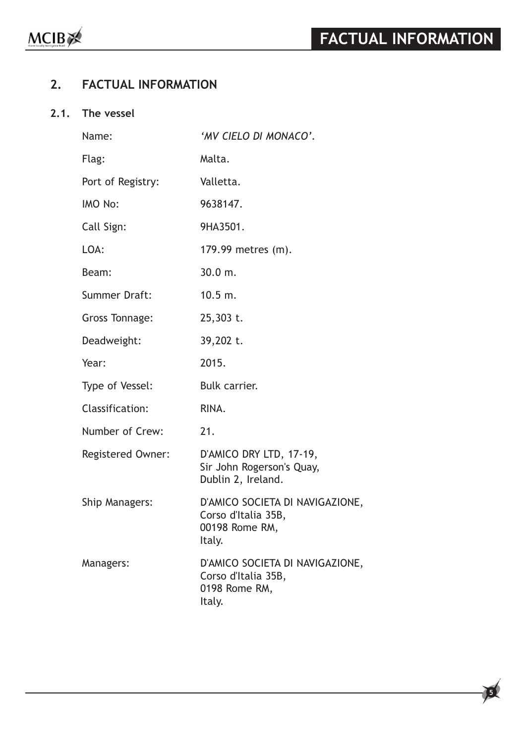**5**

# **2. FACTUAL INFORMATION**

## **2.1. The vessel**

| Name:                    | 'MV CIELO DI MONACO'.                                                              |
|--------------------------|------------------------------------------------------------------------------------|
| Flag:                    | Malta.                                                                             |
| Port of Registry:        | Valletta.                                                                          |
| IMO No:                  | 9638147.                                                                           |
| Call Sign:               | 9HA3501.                                                                           |
| LOA:                     | 179.99 metres (m).                                                                 |
| Beam:                    | 30.0 m.                                                                            |
| <b>Summer Draft:</b>     | 10.5 m.                                                                            |
| <b>Gross Tonnage:</b>    | 25,303 t.                                                                          |
| Deadweight:              | 39,202 t.                                                                          |
| Year:                    | 2015.                                                                              |
| Type of Vessel:          | Bulk carrier.                                                                      |
| <b>Classification:</b>   | RINA.                                                                              |
| Number of Crew:          | 21.                                                                                |
| <b>Registered Owner:</b> | D'AMICO DRY LTD, 17-19,<br>Sir John Rogerson's Quay,<br>Dublin 2, Ireland.         |
| Ship Managers:           | D'AMICO SOCIETA DI NAVIGAZIONE,<br>Corso d'Italia 35B,<br>00198 Rome RM,<br>Italy. |
| Managers:                | D'AMICO SOCIETA DI NAVIGAZIONE,<br>Corso d'Italia 35B,<br>0198 Rome RM,<br>Italy.  |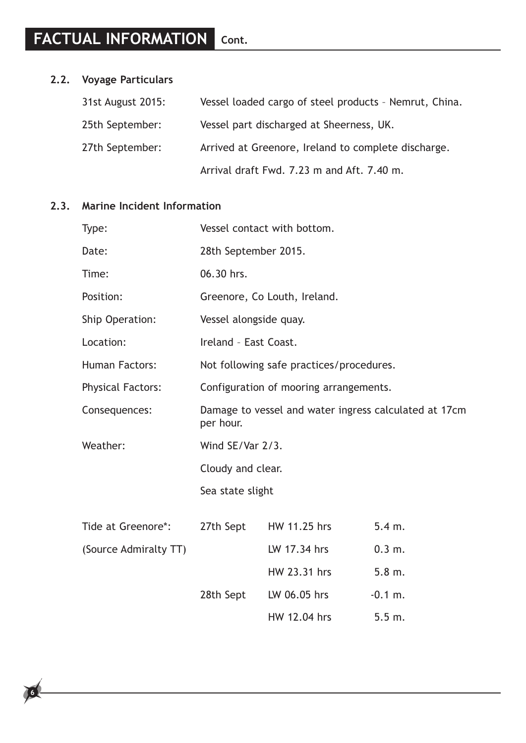# **2.2. Voyage Particulars**

| 31st August 2015: | Vessel loaded cargo of steel products - Nemrut, China. |
|-------------------|--------------------------------------------------------|
| 25th September:   | Vessel part discharged at Sheerness, UK.               |
| 27th September:   | Arrived at Greenore, Ireland to complete discharge.    |
|                   | Arrival draft Fwd. 7.23 m and Aft. 7.40 m.             |

## **2.3. Marine Incident Information**

**6**

| Type:                    | Vessel contact with bottom.                                                                                                                                                                                                                                                                              |              |           |  |
|--------------------------|----------------------------------------------------------------------------------------------------------------------------------------------------------------------------------------------------------------------------------------------------------------------------------------------------------|--------------|-----------|--|
| Date:                    | 28th September 2015.                                                                                                                                                                                                                                                                                     |              |           |  |
| Time:                    | 06.30 hrs.                                                                                                                                                                                                                                                                                               |              |           |  |
| Position:                | Greenore, Co Louth, Ireland.<br>Vessel alongside quay.<br>Ireland - East Coast.<br>Not following safe practices/procedures.<br>Configuration of mooring arrangements.<br>Damage to vessel and water ingress calculated at 17cm<br>per hour.<br>Wind SE/Var 2/3.<br>Cloudy and clear.<br>Sea state slight |              |           |  |
| Ship Operation:          |                                                                                                                                                                                                                                                                                                          |              |           |  |
| Location:                |                                                                                                                                                                                                                                                                                                          |              |           |  |
| <b>Human Factors:</b>    |                                                                                                                                                                                                                                                                                                          |              |           |  |
| <b>Physical Factors:</b> |                                                                                                                                                                                                                                                                                                          |              |           |  |
| Consequences:            |                                                                                                                                                                                                                                                                                                          |              |           |  |
| Weather:                 |                                                                                                                                                                                                                                                                                                          |              |           |  |
|                          |                                                                                                                                                                                                                                                                                                          |              |           |  |
|                          |                                                                                                                                                                                                                                                                                                          |              |           |  |
| Tide at Greenore*:       | 27th Sept                                                                                                                                                                                                                                                                                                | HW 11.25 hrs | 5.4 m.    |  |
| (Source Admiralty TT)    |                                                                                                                                                                                                                                                                                                          | LW 17.34 hrs | 0.3 m.    |  |
|                          |                                                                                                                                                                                                                                                                                                          | HW 23.31 hrs | 5.8 m.    |  |
|                          | 28th Sept                                                                                                                                                                                                                                                                                                | LW 06.05 hrs | $-0.1$ m. |  |
|                          |                                                                                                                                                                                                                                                                                                          | HW 12.04 hrs | 5.5 m.    |  |